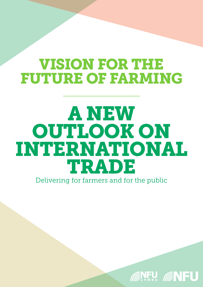# VISION FOR THE FUTURE OF FARMING

# A NEW OUTLOOK ON INTERNATIONAL TRADE

Delivering for farmers and for the public

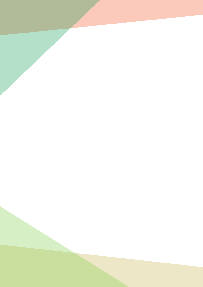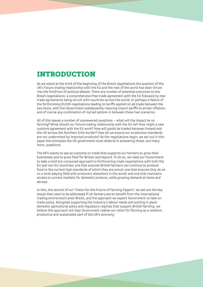# INTRODUCTION

As we stand at the brink of the beginning of the Brexit negotiations the question of the UK's future trading relationship with the EU and the rest of the world has been thrust into the forefront of political debate. There are number of potential outcomes to the Brexit negotiations: a comprehensive free trade agreement with the EU followed by new trade agreements being struck with countries across the world; or perhaps a failure of the forthcoming EU/UK negotiations leading to tariffs applied on all trade between the two blocs, with the Government subsequently reducing import tariffs to arrest inflation; and of course any combination of myriad options in between these two scenarios.

All of this leaves a number of unanswered questions – what will the impact be on farming? What should our future trading relationship with the EU be? How might a new customs agreement with the EU work? How will goods be traded between Ireland and the UK across the Northern Irish border? How do we ensure our production standards are not undermined by imported products? As the negotiations begin, we set out in this paper the principles the UK government must observe in answering those, and many more, questions.

The NFU wants to see an outcome on trade that supports our farmers to grow their businesses and to grow food for Britain and beyond. To do so, we need our Government to take a bold but composed approach to forthcoming trade negotiations with both the EU and non-EU countries; one that ensures British farmers can continue to produce food to the current high standards of which they are proud; one that ensures they do so on a level-playing field with producers elsewhere in the world; and one that maintains access to current markets for domestic produce, while growing demand at home and abroad.

In this, the second of our "Vision for the Future of Farming Papers", we set out the key issues that need to be addressed if UK farmers are to benefit from the international trading environment post-Brexit, and the approach we expect Government to take on trade policy. Alongside supporting the industry's labour needs and putting in place domestic agricultural policy and regulatory regimes that support British farming, we believe this approach will help Government realise our vision for farming as a resilient, productive and sustainable part of the UK's economy.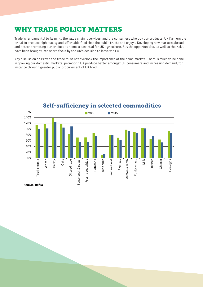# WHY TRADE POLICY MATTERS

Trade is fundamental to farming, the value chain it services, and the consumers who buy our products. UK farmers are proud to produce high quality and affordable food that the public trusts and enjoys. Developing new markets abroad and better promoting our product at home is essential for UK agriculture. But the opportunities, as well as the risks, have been brought into sharp focus by the UK's decision to leave the EU.

Any discussion on Brexit and trade must not overlook the importance of the home market. There is much to be done in growing our domestic markets, promoting UK produce better amongst UK consumers and increasing demand, for instance through greater public procurement of UK food.



## Self-sufficiency in selected commodities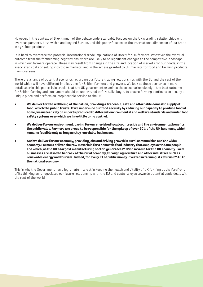However, in the context of Brexit much of the debate understandably focuses on the UK's trading relationships with overseas partners, both within and beyond Europe, and this paper focuses on the international dimension of our trade in agri-food products.

It is hard to overstate the potential international trade implications of Brexit for UK farmers. Whatever the eventual outcome from the forthcoming negotiations, there are likely to be significant changes to the competitive landscape in which our farmers operate. These may result from changes in the size and location of markets for our goods, in the associated costs of selling into those markets, and in the access granted to UK markets for food and farming products from overseas.

There are a range of potential scenarios regarding our future trading relationships with the EU and the rest of the world which will have different implications for British farmers and growers. We look at these scenarios in more detail later in this paper. It is crucial that the UK government examines these scenarios closely – the best outcome for British farming and consumers should be understood before talks begin, to ensure farming continues to occupy a unique place and perform an irreplaceable service to the UK:

- **We deliver for the wellbeing of the nation, providing a traceable, safe and affordable domestic supply of food, which the public trusts. If we undermine our food security by reducing our capacity to produce food at home, we instead rely on imports produced to different environmental and welfare standards and under food safety systems over which we have little or no control.**
- **We deliver for our environment, caring for our cherished local countryside and the environmental benefits the public value. Farmers are proud to be responsible for the upkeep of over 70% of the UK landmass, which remains feasible only as long as they run viable businesses.**
- **And we deliver for our economy, providing jobs and driving growth in rural communities and the wider economy. Farmers deliver the raw materials for a domestic food industry that employs over 3.9m people and which, as the UK's largest manufacturing sector, generates £108bn in value for the UK economy. Farm businesses are also the bedrock of the rural economy, through agriculture and other industries such as renewable energy and tourism. Indeed, for every £1 of public money invested in farming, it returns £7.40 to the national economy.**

This is why the Government has a legitimate interest in keeping the health and vitality of UK farming at the forefront of its thinking as it negotiates our future relationship with the EU and casts its eyes towards potential trade deals with the rest of the world.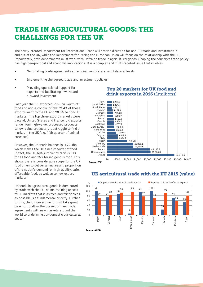# TRADE IN AGRICULTURAL GOODS: THE CHALLENGE FOR THE UK

The newly-created Department for International Trade will set the direction for non-EU trade and investment in and out of the UK, while the Department for Exiting the European Union will focus on the relationship with the EU. Importantly, both departments must work with Defra on trade in agricultural goods. Shaping the country's trade policy has high geo-political and economic implications. It is a complex and multi-faceted issue that involves:

- Negotiating trade agreements at regional, multilateral and bilateral levels
- Implementing the agreed trade and investment policies
- Providing operational support for exports and facilitating inward and outward investment

Last year the UK exported £13.8bn worth of food and non-alcoholic drinks. 71.4% of those exports went to the EU and 28.6% to non-EU markets. The top three export markets were Ireland, United States and France. UK exports range from high-value, processed products to low-value products that struggle to find a market in the UK (e.g. fifth quarter of animal carcases).

However, the UK trade balance is -£22.4bn, which makes the UK a net importer of food. In fact, the UK self-sufficiency ratio is 61% for all food and 75% for indigenous food. This shows there is considerable scope for the UK food chain to deliver an increasing proportion of the nation's demand for high quality, safe, affordable food, as well as to new export markets.

UK trade in agricultural goods is dominated by trade with the EU, so maintaining access to EU markets that is as free and frictionless as possible is a fundamental priority. Further to this, the UK government must take great care not to allow the pursuit of free trade agreements with new markets around the world to undermine our domestic agricultural sector.

#### £3,340.3 £2,153.6 £2,122.2 £1,295.6 £1,283.1 £985.8 £524.1 £519.9 £439.5 £379.3 £350.4 £337.7 £328.7 £319.5 £299.7 £288.0 £267.9  $2231.5$ £224.7 £223.2 £0 £500 £1,000 £1,000 £2,000 £2,500 £3,000 £3,500 £4,000 Ireland France Germany Italy China United Arab… Canada Singapore Sweden Japan South Africa South Korea Denmark Poland Austrailia Hong Kong Belgium Spain **Netherlands** Unites states **Source: FDF**

#### UK agricultural trade with the EU 2015 (value)



### Top 20 markets for UK food and drink exports in 2016 (£millions)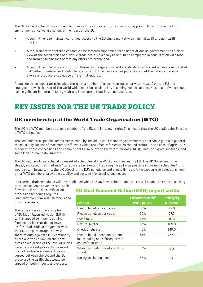The NFU expects the UK government to observe three important principles in its approach to our future trading environment once we are no longer members of the EU:

- A commitment to maintain continued access to the EU single market with minimal tariff and non-tariff barriers.
- A requirement for detailed economic assessments supporting trade negotiations so government has a clear view of the sensitivities of putative trade deals. This analysis should be completed in consultation with food and farming businesses before any offers are exchanged.
- A commitment to fully account for differences in regulations and standards when market access is negotiated with other countries and trade blocs, ensuring UK farmers are not put at a competitive disadvantage to overseas producers subject to different standards.

Alongside these important principles, there are a number of issues relating to our withdrawal from the EU and engagement with the rest of the world which must be resolved in the coming months and years, and all of which could have significant impacts on UK agriculture. These are set out in the next section.

# KEY ISSUES FOR THE UK TRADE POLICY

## UK membership at the World Trade Organisation (WTO)

The UK is a WTO member, both as a member of the EU and in its own right. This means that the UK applies the EU's set of WTO schedules.

The schedules are specific commitments made by individual WTO member governments. For trade in goods in general, these usually consist of maximum tariff levels which are often referred to as "bound tariffs". In the case of agricultural products, these concessions and commitments also relate to tariff rate quotas (TRQs), limits on export subsidies, and some kinds of domestic support.

The UK will have to establish its own set of schedules at the WTO once it leaves the EU. The UK Government has already indicated that it intends "to replicate our existing trade regime as far as possible in our new schedules". This would see, in broad terms, the UK adopting the EU's schedules and should limit the UK's exposure to objections from other WTO members, providing stability and certainty for trading businesses.

In practice, draft schedules will be established when the UK leaves the EU, and the UK will be able to trade according

to those schedules even prior to their formal approval. This certification process of schedules requires unanimity from 164 WTO members and it can take years.

The table shows some examples of EU Most Favoured Nation (MFN) tariffs applied to imports coming from countries that do not have a preferential trade arrangement with the EU. The percentages show the share of duty against 2015 commodity prices and the column on the right gives an indication of the level of duties based on current prices. In the event that a free trade agreement was not agreed between the UK and the EU, these are the tariffs that would be applied on both imports and exports.

#### EU Most Favoured Nation (MFN) import tariffs

| <b>Product</b>                                                                           | <b>Effective % tariff</b><br>$(2015)$ prices) | Tariff (p/kg)<br>(current) |
|------------------------------------------------------------------------------------------|-----------------------------------------------|----------------------------|
| Fresh/chilled pig carcases                                                               | 50%                                           | 47.8                       |
| Frozen boneless pork cuts                                                                | 65%                                           | 77.5                       |
| Fresh milk                                                                               | 74%                                           | 19.4                       |
| Natural butter                                                                           | 63%                                           | 169.0                      |
| Cheddar cheese                                                                           | 42%                                           | 149.0                      |
| Fresh/chilled sheep meat, bone-<br>in, excluding short forequarters,<br>chines/best ends | 51%                                           | 236.7                      |
| Wheat (excluding seed and durum<br>wheat)                                                | 53%                                           | 8.2                        |
| Barley (excluding seed)                                                                  | 53%                                           | 8                          |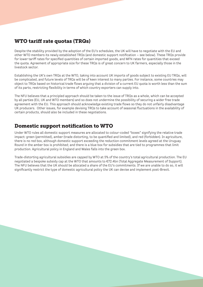## WTO tariff rate quotas (TRQs)

Despite the stability provided by the adoption of the EU's schedules, the UK will have to negotiate with the EU and other WTO members its newly established TRQs (and domestic support notification – see below). These TRQs provide for lower tariff rates for specified quantities of certain imported goods, and MFN rates for quantities that exceed the quota. Agreement of appropriate size for these TRQs is of great concern to UK farmers, especially those in the livestock sector.

Establishing the UK's own TRQs at the WTO, taking into account UK imports of goods subject to existing EU TRQs, will be complicated, and future levels of TRQs will be of keen interest to many parties. For instance, some countries may object to TRQs based on historical trade flows arguing that a division of a current EU quota is worth less than the sum of its parts, restricting flexibility in terms of which country exporters can supply into.

The NFU believes that a principled approach should be taken to the issue of TRQs as a whole, which can be accepted by all parties (EU, UK and WTO members) and so does not undermine the possibility of securing a wider free trade agreement with the EU. This approach should acknowledge existing trade flows so they do not unfairly disadvantage UK producers. Other issues, for example devising TRQs to take account of seasonal fluctuations in the availability of certain products, should also be included in these negotiations.

## Domestic support notification to WTO

Under WTO rules all domestic support measures are allocated to colour-coded "boxes" signifying the relative trade impact: green (permitted), amber (trade distorting, to be quantified and limited), and red (forbidden). In agriculture, there is no red box, although domestic support exceeding the reduction commitment levels agreed at the Uruguay Round in the amber box is prohibited; and there is a blue box for subsidies that are tied to programmes that limit production. Agricultural policy in England and Wales falls into the green box.

Trade-distorting agricultural subsidies are capped by WTO at 5% of the country's total agricultural production. The EU negotiated a bespoke subsidy cap at the WTO that amounts to €72.4bn (Total Aggregate Measurement of Support). The NFU believes that the UK should be allocated a share of the EU's commitments. If we are unable to do so, it will significantly restrict the type of domestic agricultural policy the UK can devise and implement post-Brexit.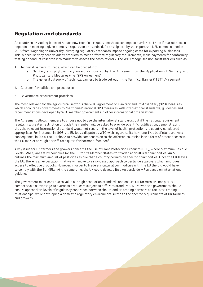## Regulation and standards

As countries or trading blocs introduce new technical regulations these can impose barriers to trade if market access depends on meeting a given domestic regulation or standard. As anticipated by the report the NFU commissioned in 2016 from Wageningen University, diverging regulatory standards impose ongoing costs for exporting businesses. This is because they need to adapt products to meet different regulatory requirements, make payments for conformity testing or conduct research into markets to assess the costs of entry. The WTO recognises non-tariff barriers such as:

- 1. Technical barriers to trade, which can be divided into:
	- a. Sanitary and phytosanitary measures covered by the Agreement on the Application of Sanitary and Phytosanitary Measures (the "SPS Agreement")
	- b. The general category of technical barriers to trade set out in the Technical Barrier ("TBT") Agreement
- 2. Customs formalities and procedures
- 3. Government procurement practices

The most relevant for the agricultural sector is the WTO agreement on Sanitary and Phytosanitary (SPS) Measures which encourages governments to "harmonise" national SPS measures with international standards, guidelines and recommendations developed by WTO member governments in other international organisations.

The Agreement allows members to choose not to use the international standards, but if the national requirement results in a greater restriction of trade the member will be asked to provide scientific justification, demonstrating that the relevant international standard would not result in the level of health protection the country considered appropriate. For instance, in 1998 the EU lost a dispute at WTO with regard to its hormone-free beef standard. As a consequence, in 2009 the EU chose to provide compensation to the affected countries in the form of better access to the EU market through a tariff-rate quota for hormone-free beef.

A key issue for UK farmers and growers concerns the use of Plant Protection Products (PPP), where Maximum Residue Levels (MRLs) are set by countries (or the EU for its Member States) for traded agricultural commodities. An MRL outlines the maximum amount of pesticide residue that a country permits on specific commodities. Once the UK leaves the EU, there is an expectation that we will move to a risk-based approach to pesticide approvals which improves access to effective products. However, in order to trade agricultural commodities with the EU the UK would have to comply with the EU MRLs. At the same time, the UK could develop its own pesticide MRLs based on international guidance.

The government must continue to value our high production standards and ensure UK farmers are not put at a competitive disadvantage to overseas producers subject to different standards. Moreover, the government should ensure appropriate levels of regulatory coherence between the UK and its trading partners to facilitate trading relationships, while developing a domestic regulatory environment suited to the specific requirements of UK farmers and growers.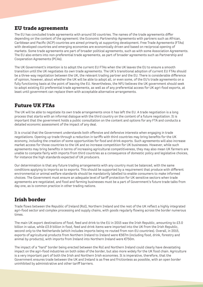### EU trade agreements

The EU has concluded trade agreements with around 50 countries. The names of the trade agreements differ depending on the content of the agreement: the Economic Partnership Agreements with partners such as African, Caribbean and Pacific (ACP) countries are aimed primarily at supporting development. Free Trade Agreements (FTAs) with developed countries and emerging economies are economically driven and based on reciprocal opening of markets. Some trade agreements are part of broader political agreements, such as with some Association Agreements. The EU also enters into non-preferential trade agreements, as part of broader agreements such as Partnership and Cooperation Agreements (PCAs).

The UK Government's intention is to adopt the current EU FTAs when the UK leaves the EU to ensure a smooth transition until the UK negotiates its own trade agreements. The UK's transitional adoption of current EU FTAs should be a three-way negotiation between the UK, the relevant trading partner and the EU. There is considerable difference of opinion, however, about whether the UK will be able to adopt all, or even some, of the EU's trade agreements on a fully functioning basis at the point of leaving the EU. Nevertheless, the NFU believes the UK government should seek to adopt existing EU preferential trade agreements, as well as of any preferential access for UK agri-food exports, at least until government can replace them with acceptable alternative arrangements.

## Future UK FTAs

The UK will be able to negotiate its own trade arrangements once it has left the EU. A trade negotiation is a long process that starts with an informal dialogue with the third country on the content of a future negotiation. It is important that the government holds a public consultation on the content and options for any FTA and conducts a detailed economic assessment of the impact of any deal.

It is crucial that the Government understands both offensive and defensive interests when engaging in trade negotiations. Opening up trade through a reduction in tariffs with third countries may bring benefits for the UK economy, including the creation of some opportunities for food and drink exports. Such agreements will also increase market access for those countries to the UK and so increase competition for UK businesses. However, while such agreements may bring benefits in terms of increasing agricultural competitiveness, they may also mean UK farmers are unable to compete fairly with imports from third countries as a consequence of domestic policy and legislative choices, for instance the high standards expected of UK producers.

Our determination is that any future trading arrangements with any country must be balanced, with the same conditions applying to imports as to exports. This should be supported by a requirement that produce with different environmental or animal welfare standards should be mandatorily labelled to enable consumers to make informed choices. The Government must ensure an adequate level of tariff protection for UK sensitive sectors when trade agreements are negotiated, and food and farming businesses must be a part of Government's future trade talks from day one, as is common practice in other trading nations.

## Irish border

Trade flows between the Republic of Ireland (RoI), Northern Ireland and the rest of the UK reflect a highly integrated agri-food sector and complex processing and supply chains, with goods regularly flowing across the border numerous times.

The main UK export destinations of food, feed and drink to the EU in 2015 was the Irish Republic, amounting to £3.0 billion in value, while £3.9 billion in food, feed and drink items were imported into the UK from the Irish Republic, second only to the Netherlands (which includes imports being re-routed from non-EU countries). Overall, in 2015, exports of agricultural products from Northern Ireland to Ireland were €567m (including food, drink, forestry and animal by-products), with imports from Ireland into Northern Ireland were €750m.

The impact of a "hard" border being erected between the RoI and Northern Ireland could clearly have devastating impact on the agri-food industries on both sides of the border, but also more widely for the UK food chain. Agriculture is a very important part of both the Irish and Northern Irish economies. It is imperative, therefore, that the Government ensures trade between the UK and Ireland is as free and frictionless as possible, with an open border uninhibited by administrative and other tariff barriers.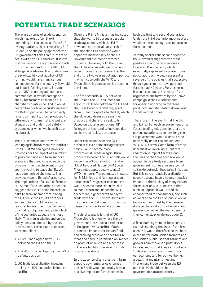# POTENTIAL TRADE SCENARIOS

There are a range of trade scenarios which may exist after Brexit, depending on the success of the EU/ UK negotiations, the terms of any EU/ UK deal, and the policy approach the UK government takes to future trade deals with non-EU countries. It is vital that we secure the right scenario both for UK farmers and for the UK public at large. A trade deal that undermines the profitability and viability of UK farming would have many serious consequences for the country. It would put in peril farming's contribution to the UK's economy and our rural communities. It would damage the ability for farmers to manage our cherished countryside. And it would destabilise our food security, meaning the British public will become overlyreliant on imports, often produced to different environmental and welfare standards and under food safety systems over which we have little or no control.

The NFU commissioned a worldleading agricultural research institute - the LEI at Wageningen University - to consider the impact of a number of possible trade and farm support scenarios that would be open to the UK Government in the event of the country voting to leave the EU. We have summarised the results in a previous report, British Agriculture: The Implications of a UK Exit from the EU. Some of the scenarios appear to suggest that there could be serious risks to farm income from leaving the EU, while the results of others suggest there could be a more favourable outcome. It comes down to a matter of judgement as to which of the scenarios appears the most likely. This in turn will depend on the policy position adopted by the UK Government. Three trade scenarios were modelled:

- 1. A Free Trade Agreement (FTA) between the UK and the EU
- 2. The World Trade Organisation (WTO) default position
- 3. UK Trade Liberalisation involving unilateral 50% reduction in import tariffs

Given the Prime Minister has indicated that she wants to pursue a bespoke trade agreement with the EU ("a new deep and special partnership"), the modelled FTA scenario would appear to most closely fit the UK Government's current preferred outcome. However, both the UK and the EU have acknowledged the risk of failing to reach an agreement at the end of the two year negotiation period, in which case both the WTO and Trade Liberalisation scenarios become pertinent.

The first scenario, a FTA between the UK and the EU, assumes that agricultural trade between the EU and the UK is broadly tariff-free, apart from UK lamb exports to the EU, which the EU would deem as a sensitive product and therefore seek to limit. Based on those assumptions, UK farmgate prices tend to increase due to the trade facilitation costs.

Under the second scenario (WTO default), future domestic agriculture policy would become more protectionist. Trade in agricultural products between the EU and UK would follow the WTO's non-discrimination "Most Favoured Nation" (MFN) rules. Those rules apply equally to all 164 WTO members. The estimated impacts for British food and farming are: an increase in farmgate prices; imports would become more expensive due to trade costs and, under the WTO agreement, higher tariffs to pay to trade with the EU. This would result in stimulation of domestic production caused by higher farmgate prices.

The third scenario is that of UK Trade Liberalisation, where the UK government introduces a reduction in its agreed WTO tariffs of 50%. Estimated impacts for British food and farming are lower prices for UK meat and dairy in particular, an impact on production levels and a decrease in the availability of assured British products in shops.

In the absence of any change in farm support payments, price changes due to Brexit would generally have a positive impact on farm incomes in

both the first and second scenarios. Under the third scenario, most sectors would experience negative impacts on farm incomes.

In many sectors the second scenario (WTO default) suggests the most positive impact on farm incomes. However, this scenario, which essentially represents a protectionist policy approach, would represent a reverse of the policies that successive British governments have pursued for the past 40 years. Furthermore, it would run counter to many of the arguments put forward by the Leave campaign in the EU referendum for opening up trade to overseas producers and stimulating downward trends in food prices.

Therefore, in the event that the UK and EU fail to reach an agreement on a future trading relationship, there are serious questions as to how long the UK government would wish to trade universally under the subsequent WTO MFN terms. Some form of trade liberalisation involving a unilateral reduction in import tariffs along the lines of the third scenario would appear to be a likely response from government, not least in an attempt to tackle potential food price inflation. But this sort of trade liberalisation scenario would have a hugely negative impact on the viability of many British farms. Not only is it uncertain that such an approach would lead to cheaper food for consumers, any such advantage to the British public would be more than offset by the damage done to the ability of UK farmers and growers to deliver the many benefits they currently provide (see page 5).

A free trade agreement between the EU and UK, along the lines of the first scenario, would therefore be the best outcome for both British farmers and the British public. So that farmers and growers can thrive in a post-Brexit Britain, and so that they can continue to deliver for our environment, for our economy and for our wellbeing, a deal that maintains free and frictionless trade between the EU and the UK should be the government's stated priority.